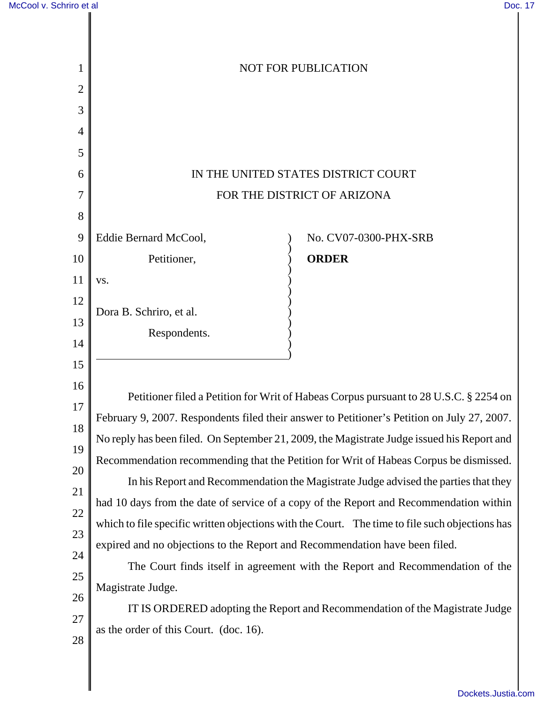